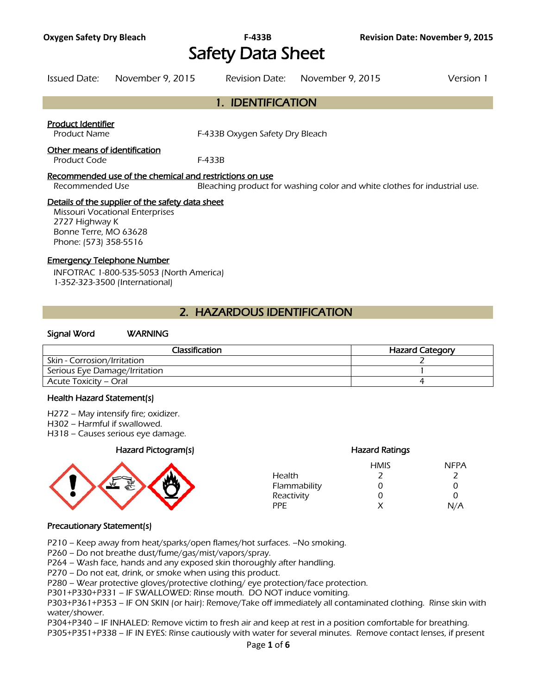# **Oxygen Safety Dry Bleach F-433B Revision Date: November 9, 2015**  Safety Data Sheet

Issued Date: November 9, 2015 Revision Date: November 9, 2015 Version 1

# 1. IDENTIFICATION

### Product Identifier

Product Name F-433B Oxygen Safety Dry Bleach

#### Other means of identification

Product Code F-433B

### Recommended use of the chemical and restrictions on use

Recommended Use Bleaching product for washing color and white clothes for industrial use.

### Details of the supplier of the safety data sheet

Missouri Vocational Enterprises 2727 Highway K Bonne Terre, MO 63628 Phone: (573) 358-5516

### Emergency Telephone Number

INFOTRAC 1-800-535-5053 (North America) 1-352-323-3500 (International)

# 2. HAZARDOUS IDENTIFICATION

### Signal Word WARNING

| Classification                | <b>Hazard Category</b> |
|-------------------------------|------------------------|
| Skin - Corrosion/Irritation   |                        |
| Serious Eye Damage/Irritation |                        |
| Acute Toxicity – Oral         |                        |
|                               |                        |

#### Health Hazard Statement(s)

- H272 May intensify fire; oxidizer.
- H302 Harmful if swallowed.
- H318 Causes serious eye damage.

### Hazard Pictogram(s) Hazard Ratings



| <b>HMIS</b>   | <b>NFPA</b> |
|---------------|-------------|
|               |             |
| $\mathcal{L}$ | O           |
| O             | O           |
| x             | N/A         |
|               |             |

### Precautionary Statement(s)

P210 – Keep away from heat/sparks/open flames/hot surfaces. –No smoking.

P260 – Do not breathe dust/fume/gas/mist/vapors/spray.

P264 – Wash face, hands and any exposed skin thoroughly after handling.

P270 – Do not eat, drink, or smoke when using this product.

P280 – Wear protective gloves/protective clothing/ eye protection/face protection.

P301+P330+P331 – IF SWALLOWED: Rinse mouth. DO NOT induce vomiting.

P303+P361+P353 – IF ON SKIN (or hair): Remove/Take off immediately all contaminated clothing. Rinse skin with water/shower.

P304+P340 – IF INHALED: Remove victim to fresh air and keep at rest in a position comfortable for breathing. P305+P351+P338 – IF IN EYES: Rinse cautiously with water for several minutes. Remove contact lenses, if present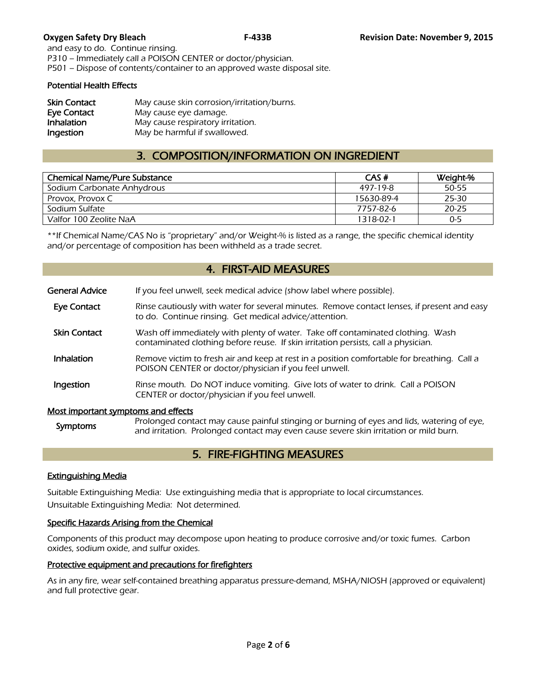and easy to do. Continue rinsing. P310 – Immediately call a POISON CENTER or doctor/physician. P501 – Dispose of contents/container to an approved waste disposal site.

### Potential Health Effects

| <b>Skin Contact</b> | May cause skin corrosion/irritation/burns. |
|---------------------|--------------------------------------------|
| Eye Contact         | May cause eye damage.                      |
| Inhalation          | May cause respiratory irritation.          |
| Ingestion           | May be harmful if swallowed.               |

# 3. COMPOSITION/INFORMATION ON INGREDIENT

| <b>Chemical Name/Pure Substance</b> | CAS#       | Weight-% |
|-------------------------------------|------------|----------|
| Sodium Carbonate Anhydrous          | 497-19-8   | 50-55    |
| Provox, Provox C                    | 15630-89-4 | 25-30    |
| Sodium Sulfate                      | 7757-82-6  | 20-25    |
| Valfor 100 Zeolite NaA              | 1318-02-1  | $0 - 5$  |
|                                     |            |          |

\*\*If Chemical Name/CAS No is "proprietary" and/or Weight-% is listed as a range, the specific chemical identity and/or percentage of composition has been withheld as a trade secret.

# 4. FIRST-AID MEASURES

| <b>General Advice</b>               | If you feel unwell, seek medical advice (show label where possible).                                                                                                  |
|-------------------------------------|-----------------------------------------------------------------------------------------------------------------------------------------------------------------------|
| Eye Contact                         | Rinse cautiously with water for several minutes. Remove contact lenses, if present and easy<br>to do. Continue rinsing. Get medical advice/attention.                 |
| <b>Skin Contact</b>                 | Wash off immediately with plenty of water. Take off contaminated clothing. Wash<br>contaminated clothing before reuse. If skin irritation persists, call a physician. |
| Inhalation                          | Remove victim to fresh air and keep at rest in a position comfortable for breathing. Call a<br>POISON CENTER or doctor/physician if you feel unwell.                  |
| Ingestion                           | Rinse mouth. Do NOT induce vomiting. Give lots of water to drink. Call a POISON<br>CENTER or doctor/physician if you feel unwell.                                     |
| Most important symptoms and effects | $Drahmod content may be a list of a list of triangles or buring of g to g to g to g.$                                                                                 |

Symptoms Prolonged contact may cause painful stinging or burning of eyes and lids, watering of eye,<br>Symptoms and irritation. Prolonged contact may over cause covere clin irritation or mild burn and irritation. Prolonged contact may even cause severe skin irritation or mild burn.

# 5. FIRE-FIGHTING MEASURES

### Extinguishing Media

Suitable Extinguishing Media: Use extinguishing media that is appropriate to local circumstances. Unsuitable Extinguishing Media: Not determined.

### Specific Hazards Arising from the Chemical

Components of this product may decompose upon heating to produce corrosive and/or toxic fumes. Carbon oxides, sodium oxide, and sulfur oxides.

### Protective equipment and precautions for firefighters

As in any fire, wear self-contained breathing apparatus pressure-demand, MSHA/NIOSH (approved or equivalent) and full protective gear.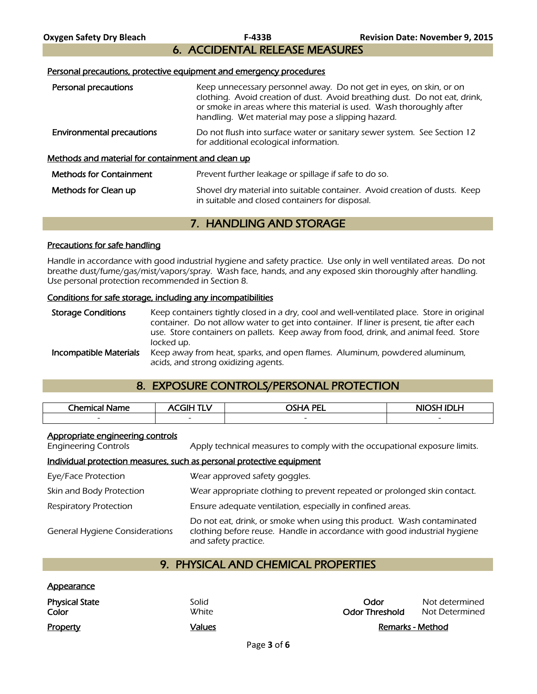6. ACCIDENTAL RELEASE MEASURES

#### Personal precautions, protective equipment and emergency procedures

| Personal precautions                              | Keep unnecessary personnel away. Do not get in eyes, on skin, or on<br>clothing. Avoid creation of dust. Avoid breathing dust. Do not eat, drink,<br>or smoke in areas where this material is used. Wash thoroughly after<br>handling. Wet material may pose a slipping hazard. |
|---------------------------------------------------|---------------------------------------------------------------------------------------------------------------------------------------------------------------------------------------------------------------------------------------------------------------------------------|
| <b>Environmental precautions</b>                  | Do not flush into surface water or sanitary sewer system. See Section 12<br>for additional ecological information.                                                                                                                                                              |
| Methods and material for containment and clean up |                                                                                                                                                                                                                                                                                 |
| <b>Methods for Containment</b>                    | Prevent further leakage or spillage if safe to do so.                                                                                                                                                                                                                           |
| Methods for Clean up                              | Shovel dry material into suitable container. Avoid creation of dusts. Keep<br>in suitable and closed containers for disposal.                                                                                                                                                   |

# 7. HANDLING AND STORAGE

#### Precautions for safe handling

Handle in accordance with good industrial hygiene and safety practice. Use only in well ventilated areas. Do not breathe dust/fume/gas/mist/vapors/spray. Wash face, hands, and any exposed skin thoroughly after handling. Use personal protection recommended in Section 8.

#### Conditions for safe storage, including any incompatibilities

Storage Conditions Keep containers tightly closed in a dry, cool and well-ventilated place. Store in original container. Do not allow water to get into container. If liner is present, tie after each use. Store containers on pallets. Keep away from food, drink, and animal feed. Store locked up. **Incompatible Materials** Keep away from heat, sparks, and open flames. Aluminum, powdered aluminum, acids, and strong oxidizing agents.

# 8. EXPOSURE CONTROLS/PERSONAL PROTECTION

| Chemical<br>Name | 71 H<br>- 37 | <b>OSHA PEL</b>          | <b>NIOSH IDLH</b> |
|------------------|--------------|--------------------------|-------------------|
| $\sim$           | $\sim$       | $\overline{\phantom{0}}$ | $\sim$            |
|                  |              |                          |                   |

#### Appropriate engineering controls

Appearance

Engineering Controls Apply technical measures to comply with the occupational exposure limits.

### Individual protection measures, such as personal protective equipment

| Eye/Face Protection                   | Wear approved safety goggles.                                                                                                                                              |
|---------------------------------------|----------------------------------------------------------------------------------------------------------------------------------------------------------------------------|
| Skin and Body Protection              | Wear appropriate clothing to prevent repeated or prolonged skin contact.                                                                                                   |
| <b>Respiratory Protection</b>         | Ensure adequate ventilation, especially in confined areas.                                                                                                                 |
| <b>General Hygiene Considerations</b> | Do not eat, drink, or smoke when using this product. Wash contaminated<br>clothing before reuse. Handle in accordance with good industrial hygiene<br>and safety practice. |

# 9. PHYSICAL AND CHEMICAL PROPERTIES

| <b>Property</b>                | Values         | Remarks - Method              |                                  |
|--------------------------------|----------------|-------------------------------|----------------------------------|
| <b>Physical State</b><br>Color | Solid<br>White | Odor<br><b>Odor Threshold</b> | Not determined<br>Not Determined |
| <u>Appearance</u>              |                |                               |                                  |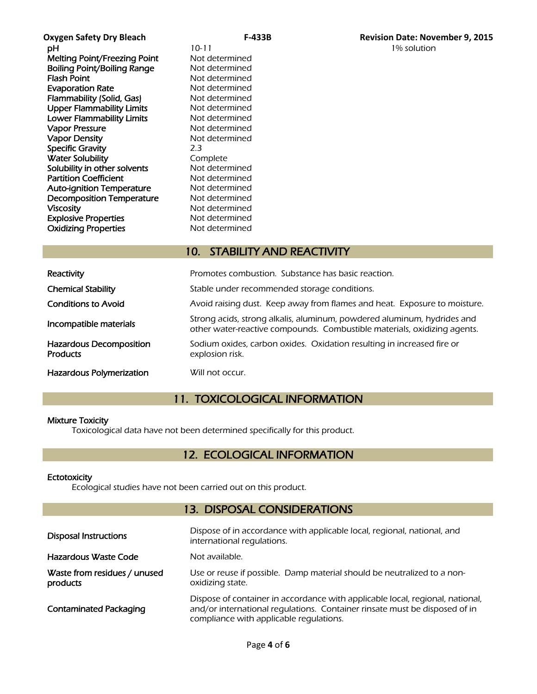**pH** 10-11 10-11 1% solution Melting Point/Freezing Point Not determined **Boiling Point/Boiling Range Not determined<br>Flash Point Communisty Range Mot determined Evaporation Rate** Not determined Flammability (Solid, Gas) Not determined Upper Flammability Limits Not determined Lower Flammability Limits Not determined Vapor Pressure Not determined Vapor Density Not determined Specific Gravity 2.3 **Water Solubility Complete**<br> **Solubility in other solvents** Not determined Solubility in other solvents Partition Coefficient Not determined Auto-ignition Temperature Mot determined Decomposition Temperature Not determined Viscosity<br>
Explosive Properties<br>
Explosive Properties<br>
Not determined **Explosive Properties** Oxidizing Properties Not determined

Not determined

# 10. STABILITY AND REACTIVITY

| Reactivity                                 | Promotes combustion. Substance has basic reaction.                                                                                                  |
|--------------------------------------------|-----------------------------------------------------------------------------------------------------------------------------------------------------|
| <b>Chemical Stability</b>                  | Stable under recommended storage conditions.                                                                                                        |
| <b>Conditions to Avoid</b>                 | Avoid raising dust. Keep away from flames and heat. Exposure to moisture.                                                                           |
| Incompatible materials                     | Strong acids, strong alkalis, aluminum, powdered aluminum, hydrides and<br>other water-reactive compounds. Combustible materials, oxidizing agents. |
| Hazardous Decomposition<br><b>Products</b> | Sodium oxides, carbon oxides. Oxidation resulting in increased fire or<br>explosion risk.                                                           |
| <b>Hazardous Polymerization</b>            | Will not occur.                                                                                                                                     |

# 11. TOXICOLOGICAL INFORMATION

### Mixture Toxicity

Toxicological data have not been determined specifically for this product.

# 12. ECOLOGICAL INFORMATION

### **Ectotoxicity**

Ecological studies have not been carried out on this product.

# 13. DISPOSAL CONSIDERATIONS

| <b>Disposal Instructions</b>             | Dispose of in accordance with applicable local, regional, national, and<br>international regulations.                                                                                                  |
|------------------------------------------|--------------------------------------------------------------------------------------------------------------------------------------------------------------------------------------------------------|
| Hazardous Waste Code                     | Not available.                                                                                                                                                                                         |
| Waste from residues / unused<br>products | Use or reuse if possible. Damp material should be neutralized to a non-<br>oxidizing state.                                                                                                            |
| <b>Contaminated Packaging</b>            | Dispose of container in accordance with applicable local, regional, national,<br>and/or international regulations. Container rinsate must be disposed of in<br>compliance with applicable regulations. |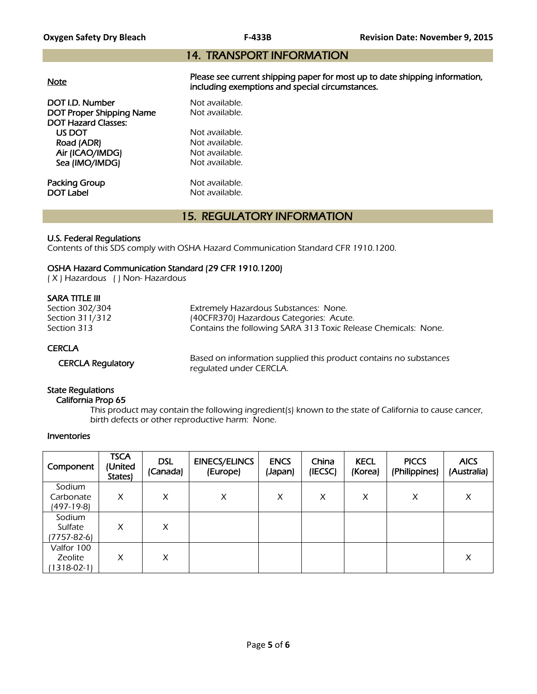# 14. TRANSPORT INFORMATION

|--|

Please see current shipping paper for most up to date shipping information, including exemptions and special circumstances.

DOT I.D. Number Not available. DOT Proper Shipping Name Not available. DOT Hazard Classes: US DOT Not available.<br>
Road (ADR) Not available. Road (ADR) Air (ICAO/IMDG) Not available. Sea (IMO/IMDG) Not available.

**Packing Group Not available.**<br> **DOT Label Not available.** 

Not available.

# 15. REGULATORY INFORMATION

## U.S. Federal Regulations

Contents of this SDS comply with OSHA Hazard Communication Standard CFR 1910.1200.

## OSHA Hazard Communication Standard (29 CFR 1910.1200)

( X ) Hazardous ( ) Non- Hazardous

## SARA TITLE III

| Section 302/304 | Extremely Hazardous Substances: None.                          |
|-----------------|----------------------------------------------------------------|
| Section 311/312 | (40CFR370) Hazardous Categories: Acute.                        |
| Section 313     | Contains the following SARA 313 Toxic Release Chemicals: None. |
| <b>CERCLA</b>   |                                                                |

 CERCLA Regulatory Based on information supplied this product contains no substances regulated under CERCLA.

# State Regulations

### California Prop 65

 This product may contain the following ingredient(s) known to the state of California to cause cancer, birth defects or other reproductive harm: None.

### Inventories

| Component                                | <b>TSCA</b><br>(United<br>States) | <b>DSL</b><br>(Canada) | <b>EINECS/ELINCS</b><br>(Europe) | <b>ENCS</b><br>(Japan) | China<br>(IECSC) | <b>KECL</b><br>(Korea) | <b>PICCS</b><br>(Philippines) | <b>AICS</b><br>(Australia) |
|------------------------------------------|-----------------------------------|------------------------|----------------------------------|------------------------|------------------|------------------------|-------------------------------|----------------------------|
| Sodium<br>Carbonate<br>(497-19-8)        | X                                 | X                      | X                                | X                      | X                | X                      | X                             | X                          |
| Sodium<br>Sulfate<br>(7757-82-6)         | X                                 | X                      |                                  |                        |                  |                        |                               |                            |
| Valfor 100<br>Zeolite<br>$1318 - 02 - 1$ | X                                 | X                      |                                  |                        |                  |                        |                               | X                          |